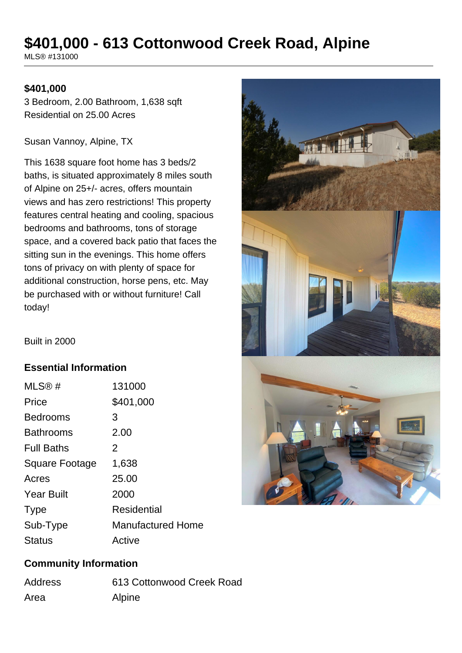# **\$401,000 - 613 Cottonwood Creek Road, Alpine**

MLS® #131000

#### **\$401,000**

3 Bedroom, 2.00 Bathroom, 1,638 sqft Residential on 25.00 Acres

Susan Vannoy, Alpine, TX

This 1638 square foot home has 3 beds/2 baths, is situated approximately 8 miles south of Alpine on 25+/- acres, offers mountain views and has zero restrictions! This property features central heating and cooling, spacious bedrooms and bathrooms, tons of storage space, and a covered back patio that faces the sitting sun in the evenings. This home offers tons of privacy on with plenty of space for additional construction, horse pens, etc. May be purchased with or without furniture! Call today!



Built in 2000

#### **Essential Information**

| MLS@#             | 131000                   |
|-------------------|--------------------------|
| Price             | \$401,000                |
| <b>Bedrooms</b>   | 3                        |
| <b>Bathrooms</b>  | 2.00                     |
| <b>Full Baths</b> | 2                        |
| Square Footage    | 1,638                    |
| Acres             | 25.00                    |
| <b>Year Built</b> | 2000                     |
| <b>Type</b>       | Residential              |
| Sub-Type          | <b>Manufactured Home</b> |
| <b>Status</b>     | Active                   |

#### **Community Information**

| Address | 613 Cottonwood Creek Road |
|---------|---------------------------|
| Area    | Alpine                    |